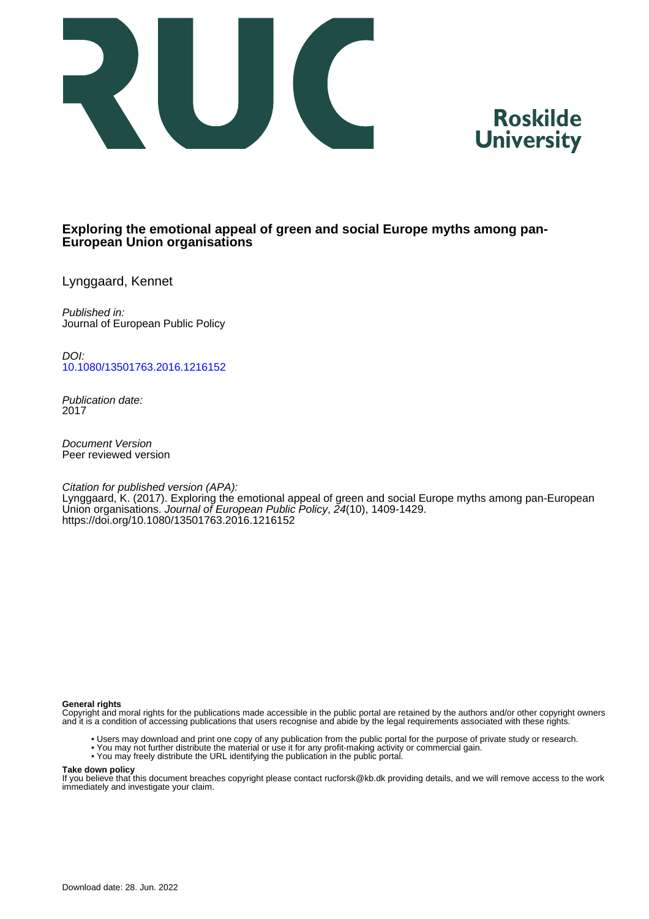



# **Exploring the emotional appeal of green and social Europe myths among pan-European Union organisations**

Lynggaard, Kennet

Published in: Journal of European Public Policy

DOI: [10.1080/13501763.2016.1216152](https://doi.org/10.1080/13501763.2016.1216152)

Publication date: 2017

Document Version Peer reviewed version

Citation for published version (APA): Lynggaard, K. (2017). Exploring the emotional appeal of green and social Europe myths among pan-European Union organisations. Journal of European Public Policy, 24(10), 1409-1429. <https://doi.org/10.1080/13501763.2016.1216152>

#### **General rights**

Copyright and moral rights for the publications made accessible in the public portal are retained by the authors and/or other copyright owners and it is a condition of accessing publications that users recognise and abide by the legal requirements associated with these rights.

- Users may download and print one copy of any publication from the public portal for the purpose of private study or research.
- You may not further distribute the material or use it for any profit-making activity or commercial gain.
- You may freely distribute the URL identifying the publication in the public portal.

#### **Take down policy**

If you believe that this document breaches copyright please contact rucforsk@kb.dk providing details, and we will remove access to the work immediately and investigate your claim.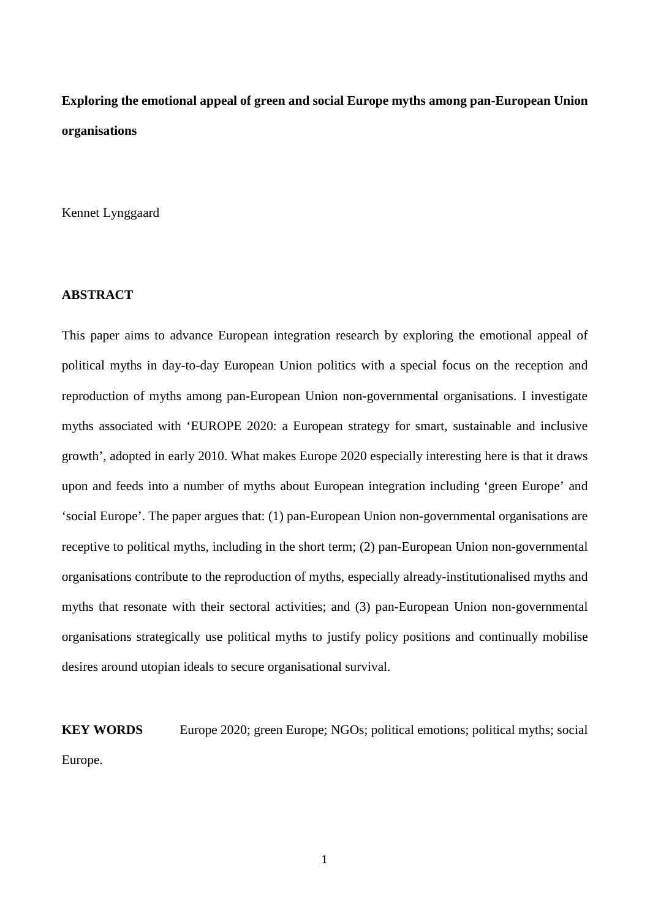# **Exploring the emotional appeal of green and social Europe myths among pan-European Union organisations**

Kennet Lynggaard

## **ABSTRACT**

This paper aims to advance European integration research by exploring the emotional appeal of political myths in day-to-day European Union politics with a special focus on the reception and reproduction of myths among pan-European Union non-governmental organisations. I investigate myths associated with 'EUROPE 2020: a European strategy for smart, sustainable and inclusive growth', adopted in early 2010. What makes Europe 2020 especially interesting here is that it draws upon and feeds into a number of myths about European integration including 'green Europe' and 'social Europe'. The paper argues that: (1) pan-European Union non-governmental organisations are receptive to political myths, including in the short term; (2) pan-European Union non-governmental organisations contribute to the reproduction of myths, especially already-institutionalised myths and myths that resonate with their sectoral activities; and (3) pan-European Union non-governmental organisations strategically use political myths to justify policy positions and continually mobilise desires around utopian ideals to secure organisational survival.

**KEY WORDS** Europe 2020; green Europe; NGOs; political emotions; political myths; social Europe.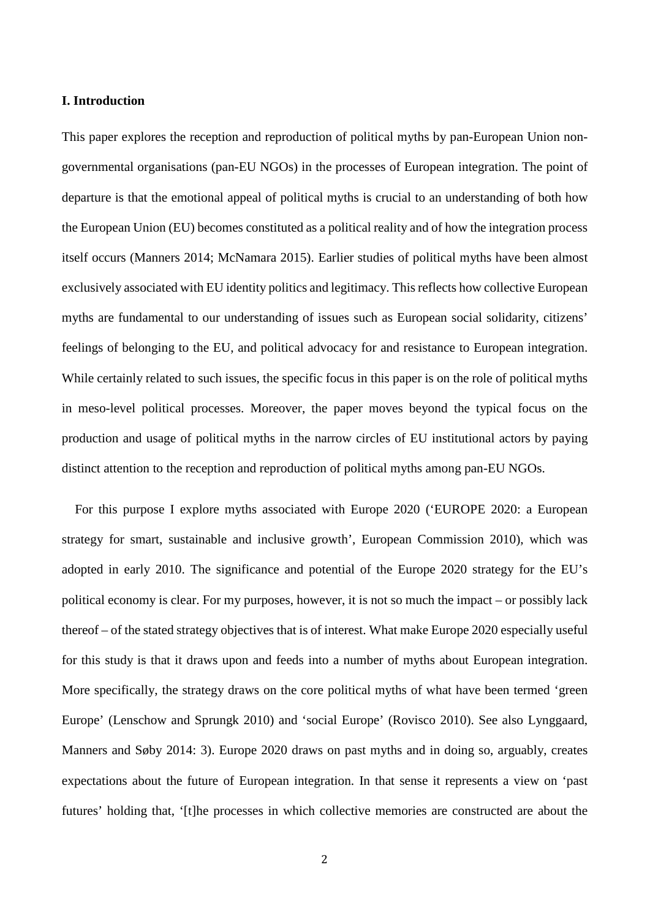#### **I. Introduction**

This paper explores the reception and reproduction of political myths by pan-European Union nongovernmental organisations (pan-EU NGOs) in the processes of European integration. The point of departure is that the emotional appeal of political myths is crucial to an understanding of both how the European Union (EU) becomes constituted as a political reality and of how the integration process itself occurs (Manners 2014; McNamara 2015). Earlier studies of political myths have been almost exclusively associated with EU identity politics and legitimacy. This reflects how collective European myths are fundamental to our understanding of issues such as European social solidarity, citizens' feelings of belonging to the EU, and political advocacy for and resistance to European integration. While certainly related to such issues, the specific focus in this paper is on the role of political myths in meso-level political processes. Moreover, the paper moves beyond the typical focus on the production and usage of political myths in the narrow circles of EU institutional actors by paying distinct attention to the reception and reproduction of political myths among pan-EU NGOs.

For this purpose I explore myths associated with Europe 2020 ('EUROPE 2020: a European strategy for smart, sustainable and inclusive growth', European Commission 2010), which was adopted in early 2010. The significance and potential of the Europe 2020 strategy for the EU's political economy is clear. For my purposes, however, it is not so much the impact – or possibly lack thereof – of the stated strategy objectives that is of interest. What make Europe 2020 especially useful for this study is that it draws upon and feeds into a number of myths about European integration. More specifically, the strategy draws on the core political myths of what have been termed 'green Europe' (Lenschow and Sprungk 2010) and 'social Europe' (Rovisco 2010). See also Lynggaard, Manners and Søby 2014: 3). Europe 2020 draws on past myths and in doing so, arguably, creates expectations about the future of European integration. In that sense it represents a view on 'past futures' holding that, '[t]he processes in which collective memories are constructed are about the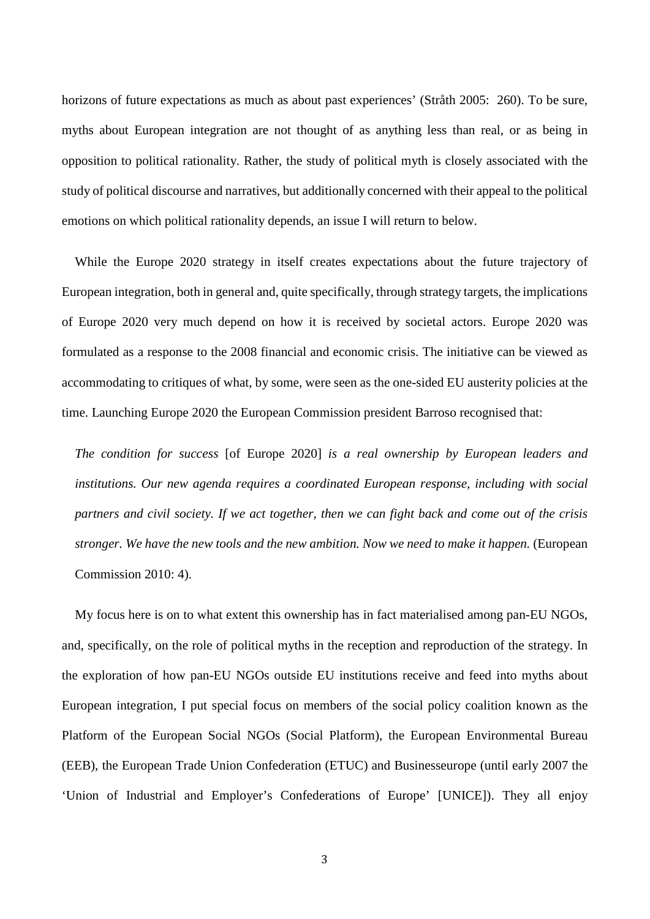horizons of future expectations as much as about past experiences' (Stråth 2005: 260). To be sure, myths about European integration are not thought of as anything less than real, or as being in opposition to political rationality. Rather, the study of political myth is closely associated with the study of political discourse and narratives, but additionally concerned with their appeal to the political emotions on which political rationality depends, an issue I will return to below.

While the Europe 2020 strategy in itself creates expectations about the future trajectory of European integration, both in general and, quite specifically, through strategy targets, the implications of Europe 2020 very much depend on how it is received by societal actors. Europe 2020 was formulated as a response to the 2008 financial and economic crisis. The initiative can be viewed as accommodating to critiques of what, by some, were seen as the one-sided EU austerity policies at the time. Launching Europe 2020 the European Commission president Barroso recognised that:

*The condition for success* [of Europe 2020] *is a real ownership by European leaders and institutions. Our new agenda requires a coordinated European response, including with social partners and civil society. If we act together, then we can fight back and come out of the crisis stronger. We have the new tools and the new ambition. Now we need to make it happen.* (European Commission 2010: 4).

My focus here is on to what extent this ownership has in fact materialised among pan-EU NGOs, and, specifically, on the role of political myths in the reception and reproduction of the strategy. In the exploration of how pan-EU NGOs outside EU institutions receive and feed into myths about European integration, I put special focus on members of the social policy coalition known as the Platform of the European Social NGOs (Social Platform), the European Environmental Bureau (EEB), the European Trade Union Confederation (ETUC) and Businesseurope (until early 2007 the 'Union of Industrial and Employer's Confederations of Europe' [UNICE]). They all enjoy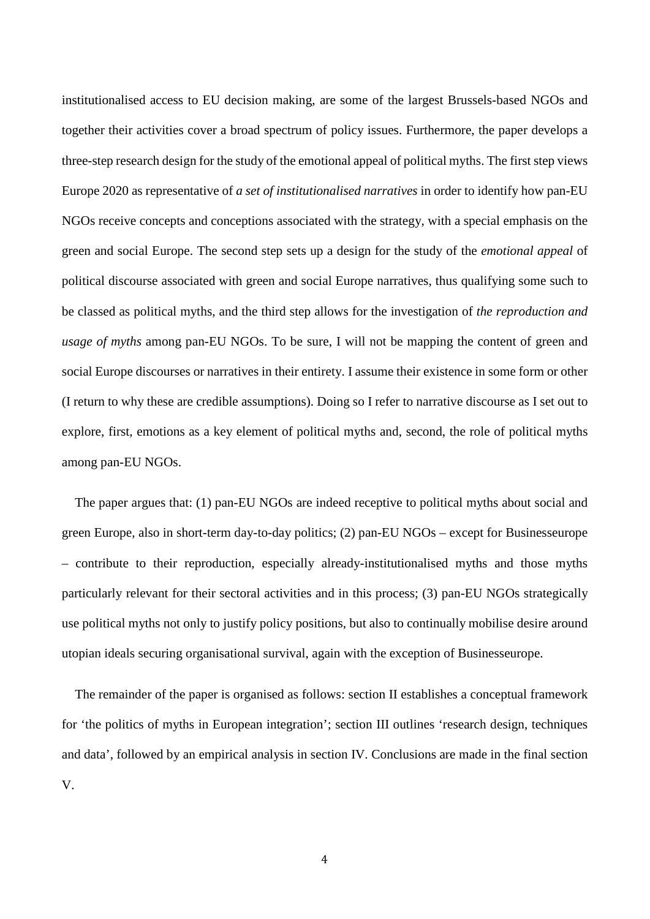institutionalised access to EU decision making, are some of the largest Brussels-based NGOs and together their activities cover a broad spectrum of policy issues. Furthermore, the paper develops a three-step research design for the study of the emotional appeal of political myths. The first step views Europe 2020 as representative of *a set of institutionalised narratives* in order to identify how pan-EU NGOs receive concepts and conceptions associated with the strategy, with a special emphasis on the green and social Europe. The second step sets up a design for the study of the *emotional appeal* of political discourse associated with green and social Europe narratives, thus qualifying some such to be classed as political myths, and the third step allows for the investigation of *the reproduction and usage of myths* among pan-EU NGOs. To be sure, I will not be mapping the content of green and social Europe discourses or narratives in their entirety. I assume their existence in some form or other (I return to why these are credible assumptions). Doing so I refer to narrative discourse as I set out to explore, first, emotions as a key element of political myths and, second, the role of political myths among pan-EU NGOs.

The paper argues that: (1) pan-EU NGOs are indeed receptive to political myths about social and green Europe, also in short-term day-to-day politics; (2) pan-EU NGOs – except for Businesseurope – contribute to their reproduction, especially already-institutionalised myths and those myths particularly relevant for their sectoral activities and in this process; (3) pan-EU NGOs strategically use political myths not only to justify policy positions, but also to continually mobilise desire around utopian ideals securing organisational survival, again with the exception of Businesseurope.

The remainder of the paper is organised as follows: section II establishes a conceptual framework for 'the politics of myths in European integration'; section III outlines 'research design, techniques and data', followed by an empirical analysis in section IV. Conclusions are made in the final section V.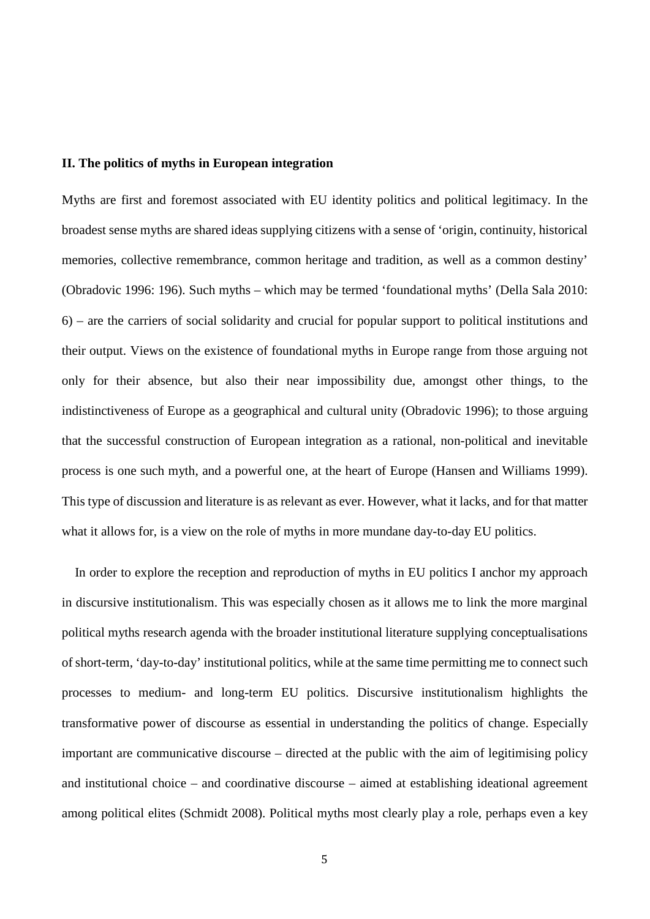#### **II. The politics of myths in European integration**

Myths are first and foremost associated with EU identity politics and political legitimacy. In the broadest sense myths are shared ideas supplying citizens with a sense of 'origin, continuity, historical memories, collective remembrance, common heritage and tradition, as well as a common destiny' (Obradovic 1996: 196). Such myths – which may be termed 'foundational myths' (Della Sala 2010: 6) – are the carriers of social solidarity and crucial for popular support to political institutions and their output. Views on the existence of foundational myths in Europe range from those arguing not only for their absence, but also their near impossibility due, amongst other things, to the indistinctiveness of Europe as a geographical and cultural unity (Obradovic 1996); to those arguing that the successful construction of European integration as a rational, non-political and inevitable process is one such myth, and a powerful one, at the heart of Europe (Hansen and Williams 1999). This type of discussion and literature is as relevant as ever. However, what it lacks, and for that matter what it allows for, is a view on the role of myths in more mundane day-to-day EU politics.

In order to explore the reception and reproduction of myths in EU politics I anchor my approach in discursive institutionalism. This was especially chosen as it allows me to link the more marginal political myths research agenda with the broader institutional literature supplying conceptualisations of short-term, 'day-to-day' institutional politics, while at the same time permitting me to connect such processes to medium- and long-term EU politics. Discursive institutionalism highlights the transformative power of discourse as essential in understanding the politics of change. Especially important are communicative discourse – directed at the public with the aim of legitimising policy and institutional choice – and coordinative discourse – aimed at establishing ideational agreement among political elites (Schmidt 2008). Political myths most clearly play a role, perhaps even a key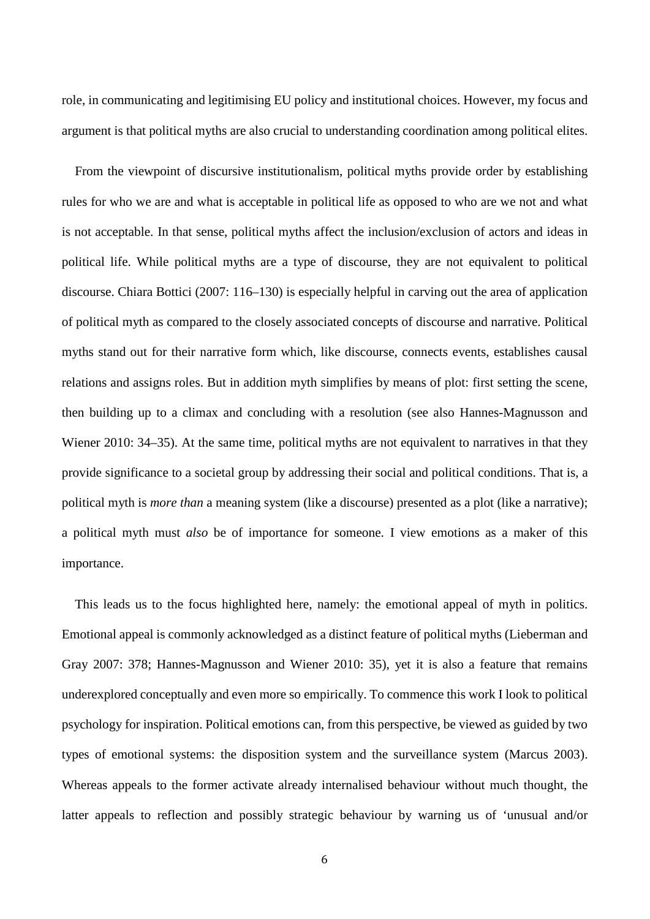role, in communicating and legitimising EU policy and institutional choices. However, my focus and argument is that political myths are also crucial to understanding coordination among political elites.

From the viewpoint of discursive institutionalism, political myths provide order by establishing rules for who we are and what is acceptable in political life as opposed to who are we not and what is not acceptable. In that sense, political myths affect the inclusion/exclusion of actors and ideas in political life. While political myths are a type of discourse, they are not equivalent to political discourse. Chiara Bottici (2007: 116–130) is especially helpful in carving out the area of application of political myth as compared to the closely associated concepts of discourse and narrative. Political myths stand out for their narrative form which, like discourse, connects events, establishes causal relations and assigns roles. But in addition myth simplifies by means of plot: first setting the scene, then building up to a climax and concluding with a resolution (see also Hannes-Magnusson and Wiener 2010: 34–35). At the same time, political myths are not equivalent to narratives in that they provide significance to a societal group by addressing their social and political conditions. That is, a political myth is *more than* a meaning system (like a discourse) presented as a plot (like a narrative); a political myth must *also* be of importance for someone. I view emotions as a maker of this importance.

This leads us to the focus highlighted here, namely: the emotional appeal of myth in politics. Emotional appeal is commonly acknowledged as a distinct feature of political myths (Lieberman and Gray 2007: 378; Hannes-Magnusson and Wiener 2010: 35), yet it is also a feature that remains underexplored conceptually and even more so empirically. To commence this work I look to political psychology for inspiration. Political emotions can, from this perspective, be viewed as guided by two types of emotional systems: the disposition system and the surveillance system (Marcus 2003). Whereas appeals to the former activate already internalised behaviour without much thought, the latter appeals to reflection and possibly strategic behaviour by warning us of 'unusual and/or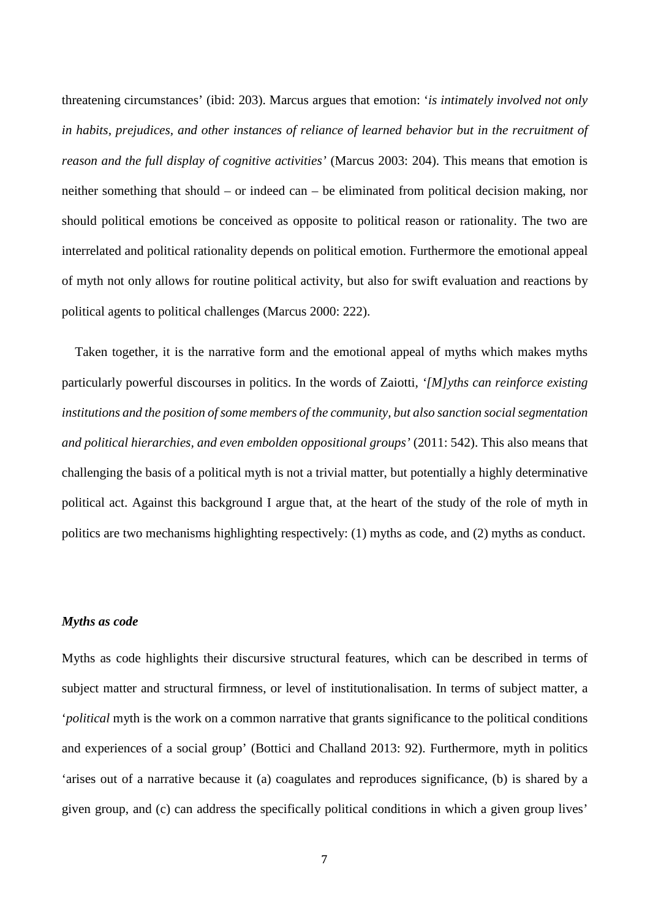threatening circumstances' (ibid: 203). Marcus argues that emotion: '*is intimately involved not only in habits, prejudices, and other instances of reliance of learned behavior but in the recruitment of reason and the full display of cognitive activities'* (Marcus 2003: 204). This means that emotion is neither something that should – or indeed can – be eliminated from political decision making, nor should political emotions be conceived as opposite to political reason or rationality. The two are interrelated and political rationality depends on political emotion. Furthermore the emotional appeal of myth not only allows for routine political activity, but also for swift evaluation and reactions by political agents to political challenges (Marcus 2000: 222).

Taken together, it is the narrative form and the emotional appeal of myths which makes myths particularly powerful discourses in politics. In the words of Zaiotti, *'[M]yths can reinforce existing institutions and the position of some members of the community, but also sanction social segmentation and political hierarchies, and even embolden oppositional groups'* (2011: 542). This also means that challenging the basis of a political myth is not a trivial matter, but potentially a highly determinative political act. Against this background I argue that, at the heart of the study of the role of myth in politics are two mechanisms highlighting respectively: (1) myths as code, and (2) myths as conduct.

#### *Myths as code*

Myths as code highlights their discursive structural features, which can be described in terms of subject matter and structural firmness, or level of institutionalisation. In terms of subject matter, a '*political* myth is the work on a common narrative that grants significance to the political conditions and experiences of a social group' (Bottici and Challand 2013: 92). Furthermore, myth in politics 'arises out of a narrative because it (a) coagulates and reproduces significance, (b) is shared by a given group, and (c) can address the specifically political conditions in which a given group lives'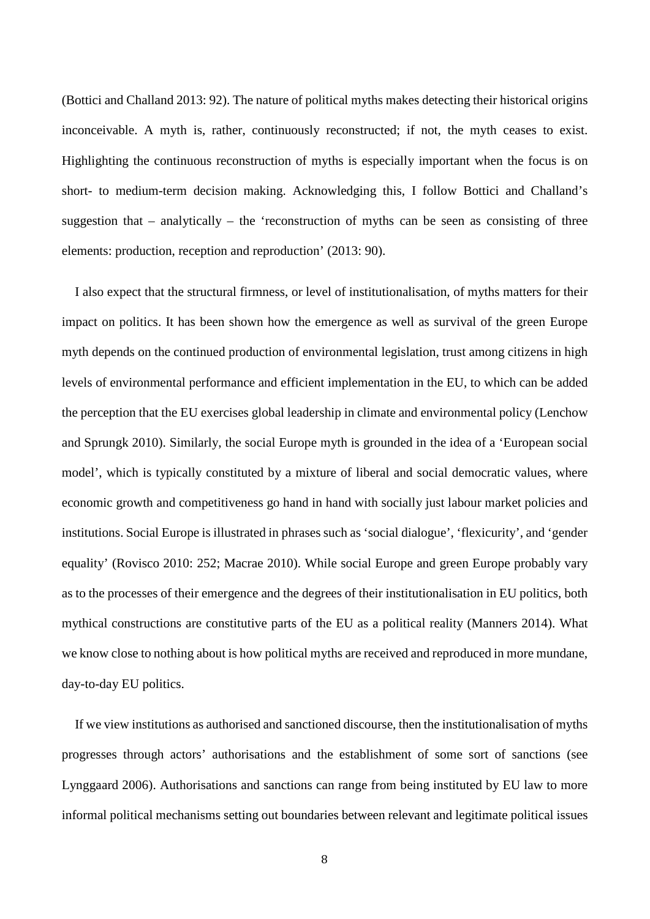(Bottici and Challand 2013: 92). The nature of political myths makes detecting their historical origins inconceivable. A myth is, rather, continuously reconstructed; if not, the myth ceases to exist. Highlighting the continuous reconstruction of myths is especially important when the focus is on short- to medium-term decision making. Acknowledging this, I follow Bottici and Challand's suggestion that  $-$  analytically  $-$  the 'reconstruction of myths can be seen as consisting of three elements: production, reception and reproduction' (2013: 90).

I also expect that the structural firmness, or level of institutionalisation, of myths matters for their impact on politics. It has been shown how the emergence as well as survival of the green Europe myth depends on the continued production of environmental legislation, trust among citizens in high levels of environmental performance and efficient implementation in the EU, to which can be added the perception that the EU exercises global leadership in climate and environmental policy (Lenchow and Sprungk 2010). Similarly, the social Europe myth is grounded in the idea of a 'European social model', which is typically constituted by a mixture of liberal and social democratic values, where economic growth and competitiveness go hand in hand with socially just labour market policies and institutions. Social Europe is illustrated in phrases such as 'social dialogue', 'flexicurity', and 'gender equality' (Rovisco 2010: 252; Macrae 2010). While social Europe and green Europe probably vary as to the processes of their emergence and the degrees of their institutionalisation in EU politics, both mythical constructions are constitutive parts of the EU as a political reality (Manners 2014). What we know close to nothing about is how political myths are received and reproduced in more mundane, day-to-day EU politics.

If we view institutions as authorised and sanctioned discourse, then the institutionalisation of myths progresses through actors' authorisations and the establishment of some sort of sanctions (see Lynggaard 2006). Authorisations and sanctions can range from being instituted by EU law to more informal political mechanisms setting out boundaries between relevant and legitimate political issues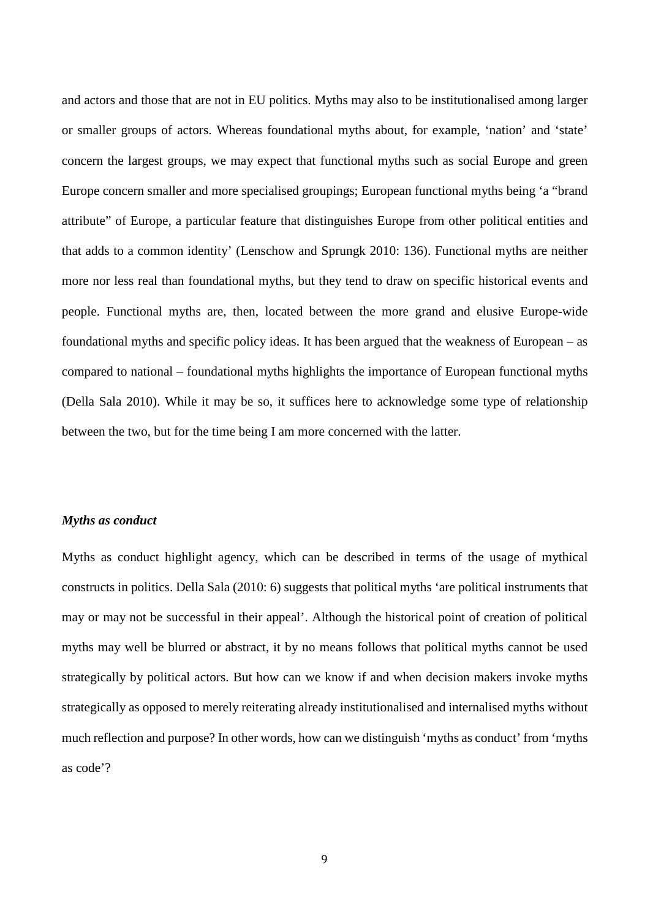and actors and those that are not in EU politics. Myths may also to be institutionalised among larger or smaller groups of actors. Whereas foundational myths about, for example, 'nation' and 'state' concern the largest groups, we may expect that functional myths such as social Europe and green Europe concern smaller and more specialised groupings; European functional myths being 'a "brand attribute" of Europe, a particular feature that distinguishes Europe from other political entities and that adds to a common identity' (Lenschow and Sprungk 2010: 136). Functional myths are neither more nor less real than foundational myths, but they tend to draw on specific historical events and people. Functional myths are, then, located between the more grand and elusive Europe-wide foundational myths and specific policy ideas. It has been argued that the weakness of European – as compared to national – foundational myths highlights the importance of European functional myths (Della Sala 2010). While it may be so, it suffices here to acknowledge some type of relationship between the two, but for the time being I am more concerned with the latter.

#### *Myths as conduct*

Myths as conduct highlight agency, which can be described in terms of the usage of mythical constructs in politics. Della Sala (2010: 6) suggests that political myths 'are political instruments that may or may not be successful in their appeal'. Although the historical point of creation of political myths may well be blurred or abstract, it by no means follows that political myths cannot be used strategically by political actors. But how can we know if and when decision makers invoke myths strategically as opposed to merely reiterating already institutionalised and internalised myths without much reflection and purpose? In other words, how can we distinguish 'myths as conduct' from 'myths as code'?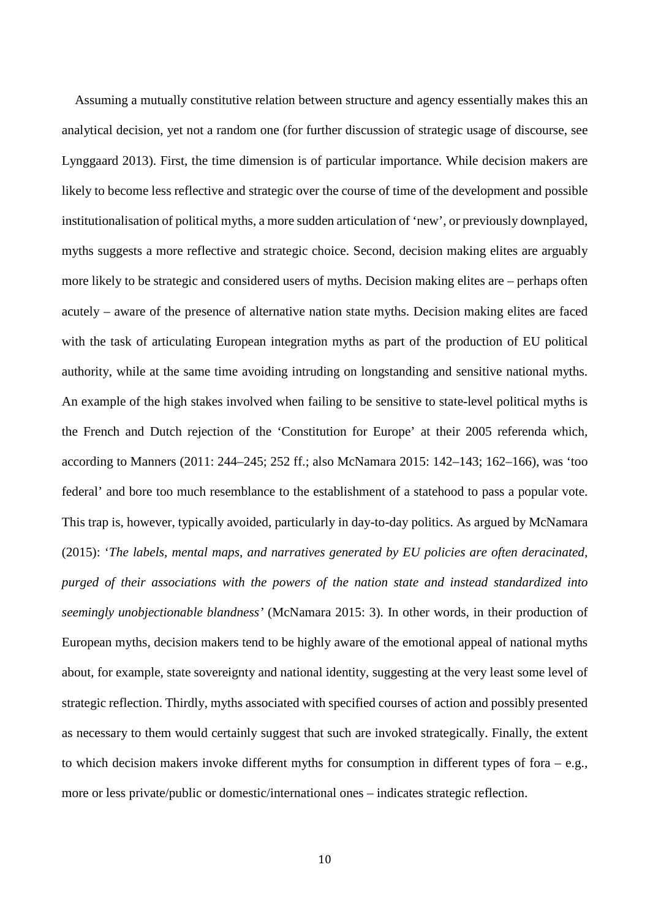Assuming a mutually constitutive relation between structure and agency essentially makes this an analytical decision, yet not a random one (for further discussion of strategic usage of discourse, see Lynggaard 2013). First, the time dimension is of particular importance. While decision makers are likely to become less reflective and strategic over the course of time of the development and possible institutionalisation of political myths, a more sudden articulation of 'new', or previously downplayed, myths suggests a more reflective and strategic choice. Second, decision making elites are arguably more likely to be strategic and considered users of myths. Decision making elites are – perhaps often acutely – aware of the presence of alternative nation state myths. Decision making elites are faced with the task of articulating European integration myths as part of the production of EU political authority, while at the same time avoiding intruding on longstanding and sensitive national myths. An example of the high stakes involved when failing to be sensitive to state-level political myths is the French and Dutch rejection of the 'Constitution for Europe' at their 2005 referenda which, according to Manners (2011: 244–245; 252 ff.; also McNamara 2015: 142–143; 162–166), was 'too federal' and bore too much resemblance to the establishment of a statehood to pass a popular vote. This trap is, however, typically avoided, particularly in day-to-day politics. As argued by McNamara (2015): '*The labels, mental maps, and narratives generated by EU policies are often deracinated, purged of their associations with the powers of the nation state and instead standardized into seemingly unobjectionable blandness'* (McNamara 2015: 3). In other words, in their production of European myths, decision makers tend to be highly aware of the emotional appeal of national myths about, for example, state sovereignty and national identity, suggesting at the very least some level of strategic reflection. Thirdly, myths associated with specified courses of action and possibly presented as necessary to them would certainly suggest that such are invoked strategically. Finally, the extent to which decision makers invoke different myths for consumption in different types of fora – e.g., more or less private/public or domestic/international ones – indicates strategic reflection.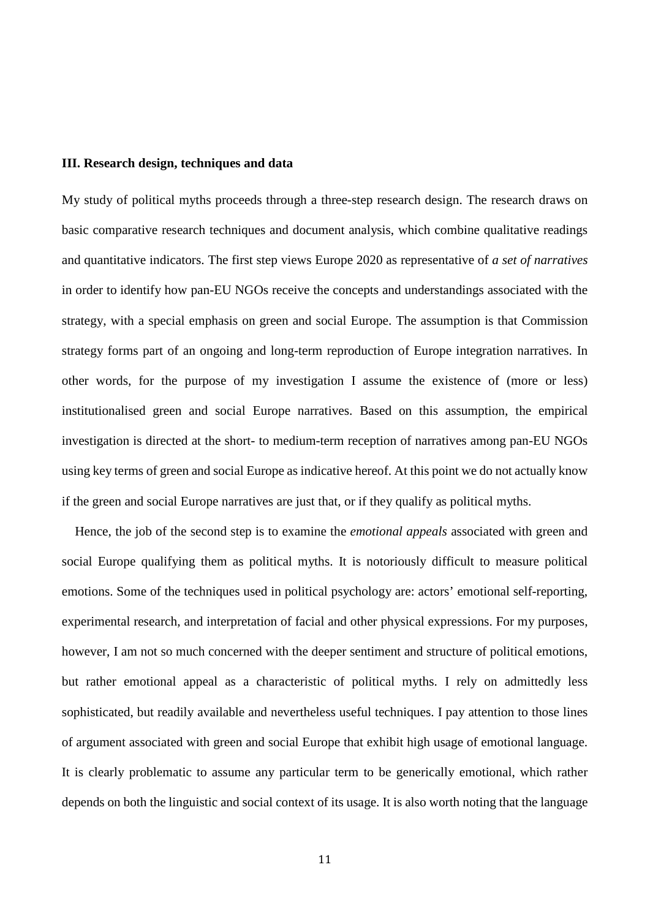#### **III. Research design, techniques and data**

My study of political myths proceeds through a three-step research design. The research draws on basic comparative research techniques and document analysis, which combine qualitative readings and quantitative indicators. The first step views Europe 2020 as representative of *a set of narratives* in order to identify how pan-EU NGOs receive the concepts and understandings associated with the strategy, with a special emphasis on green and social Europe. The assumption is that Commission strategy forms part of an ongoing and long-term reproduction of Europe integration narratives. In other words, for the purpose of my investigation I assume the existence of (more or less) institutionalised green and social Europe narratives. Based on this assumption, the empirical investigation is directed at the short- to medium-term reception of narratives among pan-EU NGOs using key terms of green and social Europe as indicative hereof. At this point we do not actually know if the green and social Europe narratives are just that, or if they qualify as political myths.

Hence, the job of the second step is to examine the *emotional appeals* associated with green and social Europe qualifying them as political myths. It is notoriously difficult to measure political emotions. Some of the techniques used in political psychology are: actors' emotional self-reporting, experimental research, and interpretation of facial and other physical expressions. For my purposes, however, I am not so much concerned with the deeper sentiment and structure of political emotions, but rather emotional appeal as a characteristic of political myths. I rely on admittedly less sophisticated, but readily available and nevertheless useful techniques. I pay attention to those lines of argument associated with green and social Europe that exhibit high usage of emotional language. It is clearly problematic to assume any particular term to be generically emotional, which rather depends on both the linguistic and social context of its usage. It is also worth noting that the language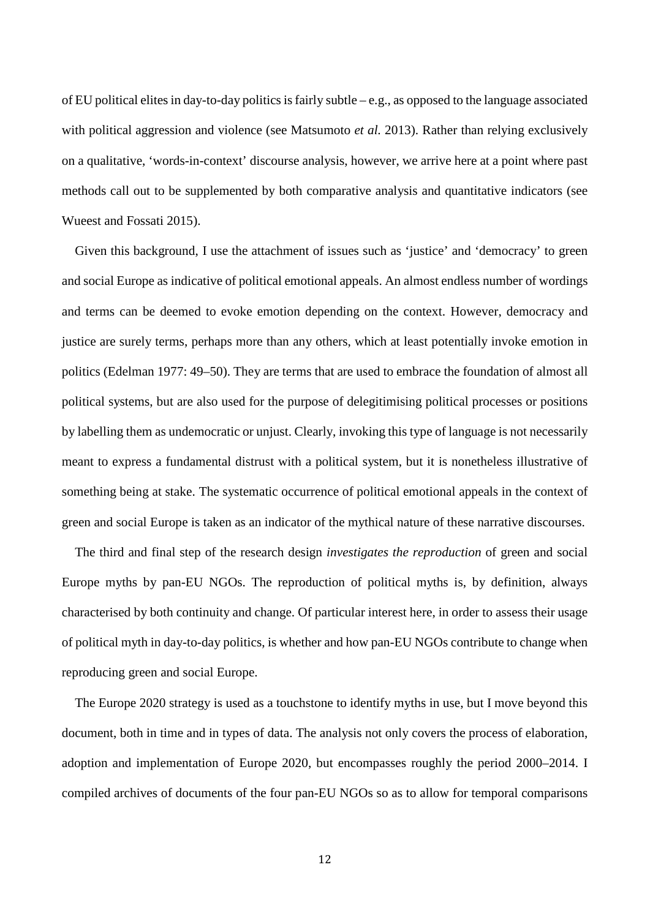of EU political elites in day-to-day politics is fairly subtle – e.g., as opposed to the language associated with political aggression and violence (see Matsumoto *et al.* 2013). Rather than relying exclusively on a qualitative, 'words-in-context' discourse analysis, however, we arrive here at a point where past methods call out to be supplemented by both comparative analysis and quantitative indicators (see Wueest and Fossati 2015).

Given this background, I use the attachment of issues such as 'justice' and 'democracy' to green and social Europe as indicative of political emotional appeals. An almost endless number of wordings and terms can be deemed to evoke emotion depending on the context. However, democracy and justice are surely terms, perhaps more than any others, which at least potentially invoke emotion in politics (Edelman 1977: 49–50). They are terms that are used to embrace the foundation of almost all political systems, but are also used for the purpose of delegitimising political processes or positions by labelling them as undemocratic or unjust. Clearly, invoking this type of language is not necessarily meant to express a fundamental distrust with a political system, but it is nonetheless illustrative of something being at stake. The systematic occurrence of political emotional appeals in the context of green and social Europe is taken as an indicator of the mythical nature of these narrative discourses.

The third and final step of the research design *investigates the reproduction* of green and social Europe myths by pan-EU NGOs. The reproduction of political myths is, by definition, always characterised by both continuity and change. Of particular interest here, in order to assess their usage of political myth in day-to-day politics, is whether and how pan-EU NGOs contribute to change when reproducing green and social Europe.

The Europe 2020 strategy is used as a touchstone to identify myths in use, but I move beyond this document, both in time and in types of data. The analysis not only covers the process of elaboration, adoption and implementation of Europe 2020, but encompasses roughly the period 2000–2014. I compiled archives of documents of the four pan-EU NGOs so as to allow for temporal comparisons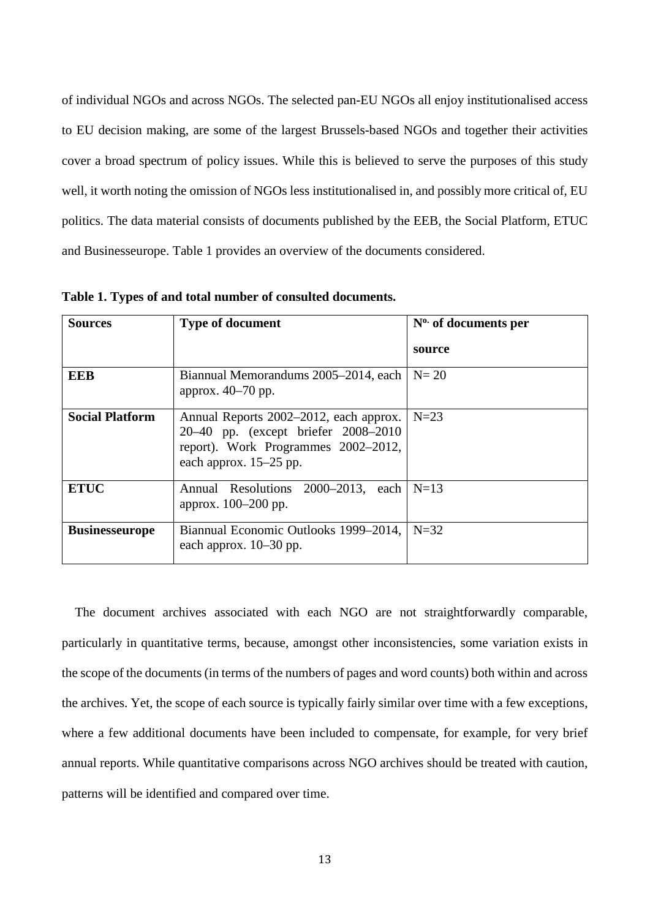of individual NGOs and across NGOs. The selected pan-EU NGOs all enjoy institutionalised access to EU decision making, are some of the largest Brussels-based NGOs and together their activities cover a broad spectrum of policy issues. While this is believed to serve the purposes of this study well, it worth noting the omission of NGOs less institutionalised in, and possibly more critical of, EU politics. The data material consists of documents published by the EEB, the Social Platform, ETUC and Businesseurope. Table 1 provides an overview of the documents considered.

| <b>Sources</b>         | <b>Type of document</b>                                                                                                                           | $N^0$ of documents per |
|------------------------|---------------------------------------------------------------------------------------------------------------------------------------------------|------------------------|
|                        |                                                                                                                                                   | source                 |
| <b>EEB</b>             | Biannual Memorandums 2005–2014, each<br>approx. $40-70$ pp.                                                                                       | $N=20$                 |
| <b>Social Platform</b> | Annual Reports 2002–2012, each approx.<br>20–40 pp. (except briefer 2008–2010)<br>report). Work Programmes 2002-2012,<br>each approx. $15-25$ pp. | $N=23$                 |
| <b>ETUC</b>            | Annual Resolutions 2000–2013, each<br>approx. 100–200 pp.                                                                                         | $N=13$                 |
| <b>Businesseurope</b>  | Biannual Economic Outlooks 1999–2014,<br>each approx. $10-30$ pp.                                                                                 | $N=32$                 |

**Table 1. Types of and total number of consulted documents.**

The document archives associated with each NGO are not straightforwardly comparable, particularly in quantitative terms, because, amongst other inconsistencies, some variation exists in the scope of the documents (in terms of the numbers of pages and word counts) both within and across the archives. Yet, the scope of each source is typically fairly similar over time with a few exceptions, where a few additional documents have been included to compensate, for example, for very brief annual reports. While quantitative comparisons across NGO archives should be treated with caution, patterns will be identified and compared over time.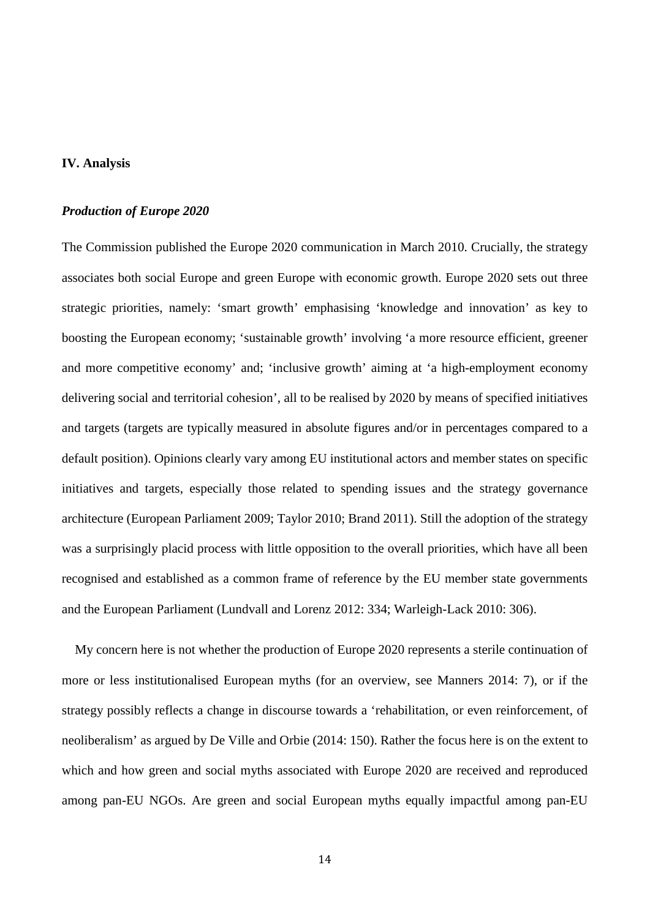# **IV. Analysis**

## *Production of Europe 2020*

The Commission published the Europe 2020 communication in March 2010. Crucially, the strategy associates both social Europe and green Europe with economic growth. Europe 2020 sets out three strategic priorities, namely: 'smart growth' emphasising 'knowledge and innovation' as key to boosting the European economy; 'sustainable growth' involving 'a more resource efficient, greener and more competitive economy' and; 'inclusive growth' aiming at 'a high-employment economy delivering social and territorial cohesion', all to be realised by 2020 by means of specified initiatives and targets (targets are typically measured in absolute figures and/or in percentages compared to a default position). Opinions clearly vary among EU institutional actors and member states on specific initiatives and targets, especially those related to spending issues and the strategy governance architecture (European Parliament 2009; Taylor 2010; Brand 2011). Still the adoption of the strategy was a surprisingly placid process with little opposition to the overall priorities, which have all been recognised and established as a common frame of reference by the EU member state governments and the European Parliament (Lundvall and Lorenz 2012: 334; Warleigh-Lack 2010: 306).

My concern here is not whether the production of Europe 2020 represents a sterile continuation of more or less institutionalised European myths (for an overview, see Manners 2014: 7), or if the strategy possibly reflects a change in discourse towards a 'rehabilitation, or even reinforcement, of neoliberalism' as argued by De Ville and Orbie (2014: 150). Rather the focus here is on the extent to which and how green and social myths associated with Europe 2020 are received and reproduced among pan-EU NGOs. Are green and social European myths equally impactful among pan-EU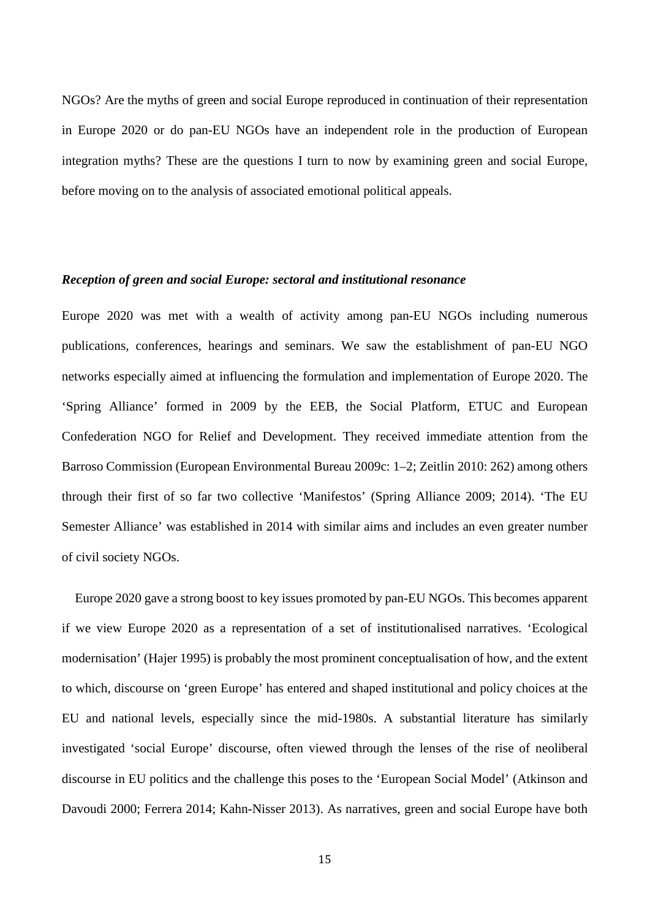NGOs? Are the myths of green and social Europe reproduced in continuation of their representation in Europe 2020 or do pan-EU NGOs have an independent role in the production of European integration myths? These are the questions I turn to now by examining green and social Europe, before moving on to the analysis of associated emotional political appeals.

## *Reception of green and social Europe: sectoral and institutional resonance*

Europe 2020 was met with a wealth of activity among pan-EU NGOs including numerous publications, conferences, hearings and seminars. We saw the establishment of pan-EU NGO networks especially aimed at influencing the formulation and implementation of Europe 2020. The 'Spring Alliance' formed in 2009 by the EEB, the Social Platform, ETUC and European Confederation NGO for Relief and Development. They received immediate attention from the Barroso Commission (European Environmental Bureau 2009c: 1–2; Zeitlin 2010: 262) among others through their first of so far two collective 'Manifestos' (Spring Alliance 2009; 2014). 'The EU Semester Alliance' was established in 2014 with similar aims and includes an even greater number of civil society NGOs.

Europe 2020 gave a strong boost to key issues promoted by pan-EU NGOs. This becomes apparent if we view Europe 2020 as a representation of a set of institutionalised narratives. 'Ecological modernisation' (Hajer 1995) is probably the most prominent conceptualisation of how, and the extent to which, discourse on 'green Europe' has entered and shaped institutional and policy choices at the EU and national levels, especially since the mid-1980s. A substantial literature has similarly investigated 'social Europe' discourse, often viewed through the lenses of the rise of neoliberal discourse in EU politics and the challenge this poses to the 'European Social Model' (Atkinson and Davoudi 2000; Ferrera 2014; Kahn-Nisser 2013). As narratives, green and social Europe have both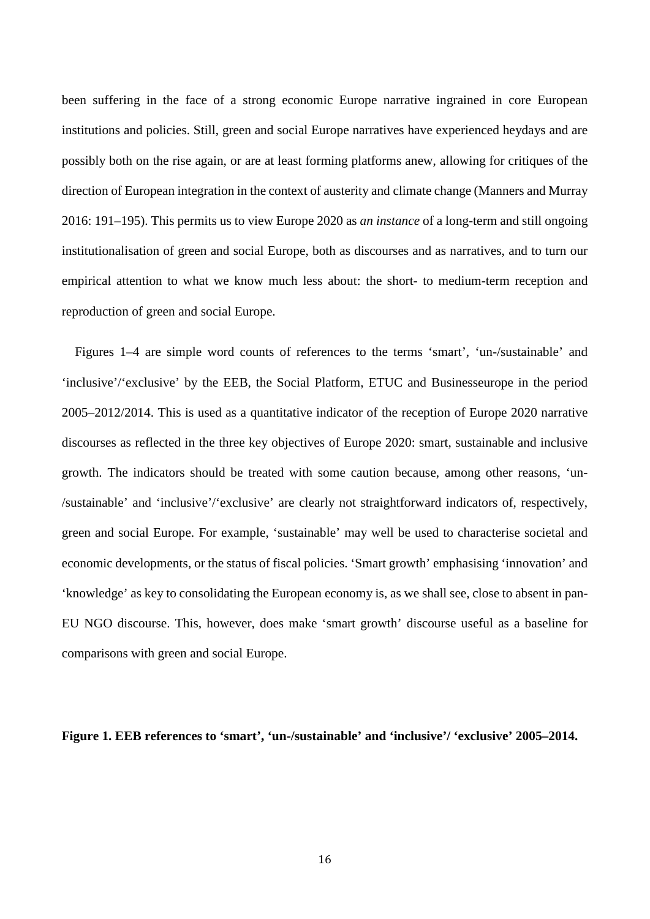been suffering in the face of a strong economic Europe narrative ingrained in core European institutions and policies. Still, green and social Europe narratives have experienced heydays and are possibly both on the rise again, or are at least forming platforms anew, allowing for critiques of the direction of European integration in the context of austerity and climate change (Manners and Murray 2016: 191–195). This permits us to view Europe 2020 as *an instance* of a long-term and still ongoing institutionalisation of green and social Europe, both as discourses and as narratives, and to turn our empirical attention to what we know much less about: the short- to medium-term reception and reproduction of green and social Europe.

Figures 1–4 are simple word counts of references to the terms 'smart', 'un-/sustainable' and 'inclusive'/'exclusive' by the EEB, the Social Platform, ETUC and Businesseurope in the period 2005–2012/2014. This is used as a quantitative indicator of the reception of Europe 2020 narrative discourses as reflected in the three key objectives of Europe 2020: smart, sustainable and inclusive growth. The indicators should be treated with some caution because, among other reasons, 'un- /sustainable' and 'inclusive'/'exclusive' are clearly not straightforward indicators of, respectively, green and social Europe. For example, 'sustainable' may well be used to characterise societal and economic developments, or the status of fiscal policies. 'Smart growth' emphasising 'innovation' and 'knowledge' as key to consolidating the European economy is, as we shall see, close to absent in pan-EU NGO discourse. This, however, does make 'smart growth' discourse useful as a baseline for comparisons with green and social Europe.

**Figure 1. EEB references to 'smart', 'un-/sustainable' and 'inclusive'/ 'exclusive' 2005–2014.**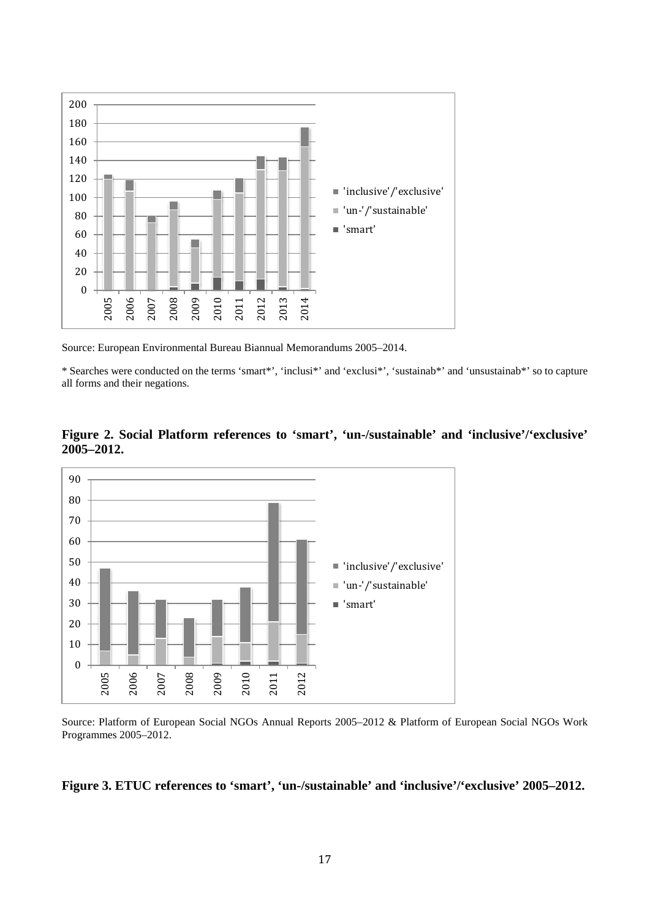

Source: European Environmental Bureau Biannual Memorandums 2005–2014.

\* Searches were conducted on the terms 'smart\*', 'inclusi\*' and 'exclusi\*', 'sustainab\*' and 'unsustainab\*' so to capture all forms and their negations.





Source: Platform of European Social NGOs Annual Reports 2005–2012 & Platform of European Social NGOs Work Programmes 2005–2012.

#### **Figure 3. ETUC references to 'smart', 'un-/sustainable' and 'inclusive'/'exclusive' 2005–2012.**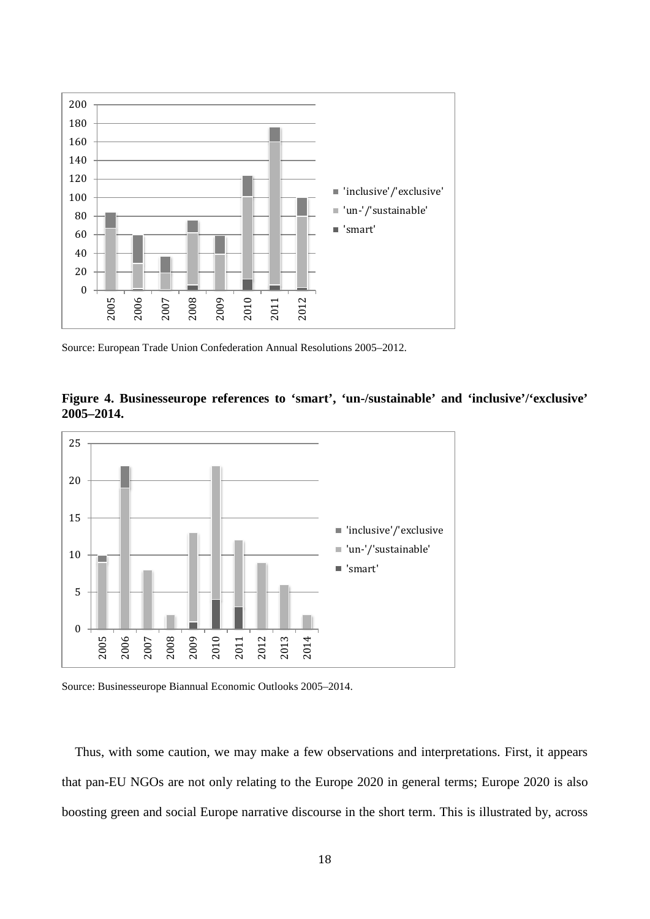

Source: European Trade Union Confederation Annual Resolutions 2005–2012.





Source: Businesseurope Biannual Economic Outlooks 2005–2014.

Thus, with some caution, we may make a few observations and interpretations. First, it appears that pan-EU NGOs are not only relating to the Europe 2020 in general terms; Europe 2020 is also boosting green and social Europe narrative discourse in the short term. This is illustrated by, across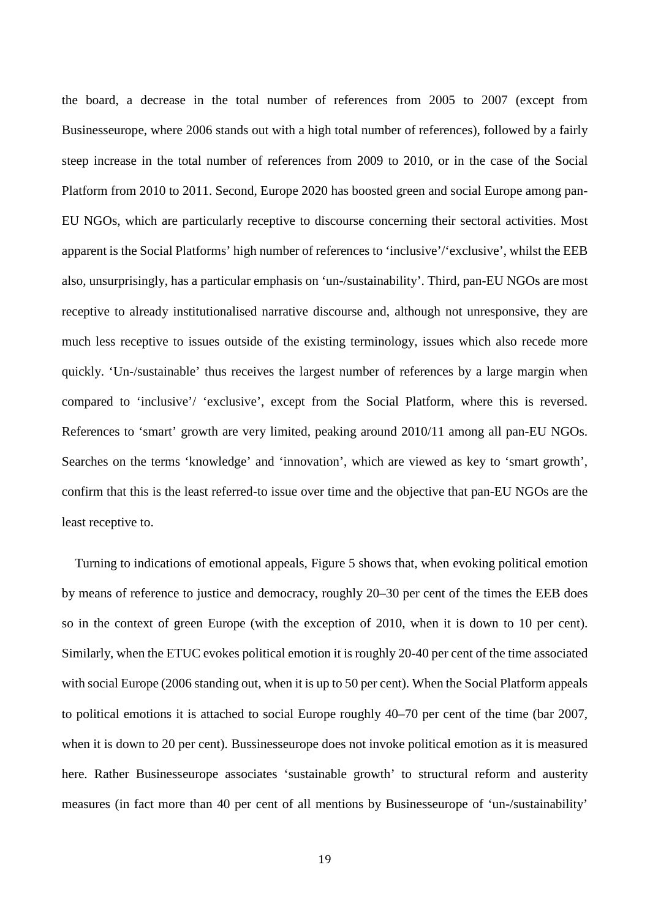the board, a decrease in the total number of references from 2005 to 2007 (except from Businesseurope, where 2006 stands out with a high total number of references), followed by a fairly steep increase in the total number of references from 2009 to 2010, or in the case of the Social Platform from 2010 to 2011. Second, Europe 2020 has boosted green and social Europe among pan-EU NGOs, which are particularly receptive to discourse concerning their sectoral activities. Most apparent is the Social Platforms' high number of references to 'inclusive'/'exclusive', whilst the EEB also, unsurprisingly, has a particular emphasis on 'un-/sustainability'. Third, pan-EU NGOs are most receptive to already institutionalised narrative discourse and, although not unresponsive, they are much less receptive to issues outside of the existing terminology, issues which also recede more quickly. 'Un-/sustainable' thus receives the largest number of references by a large margin when compared to 'inclusive'/ 'exclusive', except from the Social Platform, where this is reversed. References to 'smart' growth are very limited, peaking around 2010/11 among all pan-EU NGOs. Searches on the terms 'knowledge' and 'innovation', which are viewed as key to 'smart growth', confirm that this is the least referred-to issue over time and the objective that pan-EU NGOs are the least receptive to.

Turning to indications of emotional appeals, Figure 5 shows that, when evoking political emotion by means of reference to justice and democracy, roughly 20–30 per cent of the times the EEB does so in the context of green Europe (with the exception of 2010, when it is down to 10 per cent). Similarly, when the ETUC evokes political emotion it is roughly 20-40 per cent of the time associated with social Europe (2006 standing out, when it is up to 50 per cent). When the Social Platform appeals to political emotions it is attached to social Europe roughly 40–70 per cent of the time (bar 2007, when it is down to 20 per cent). Bussinesseurope does not invoke political emotion as it is measured here. Rather Businesseurope associates 'sustainable growth' to structural reform and austerity measures (in fact more than 40 per cent of all mentions by Businesseurope of 'un-/sustainability'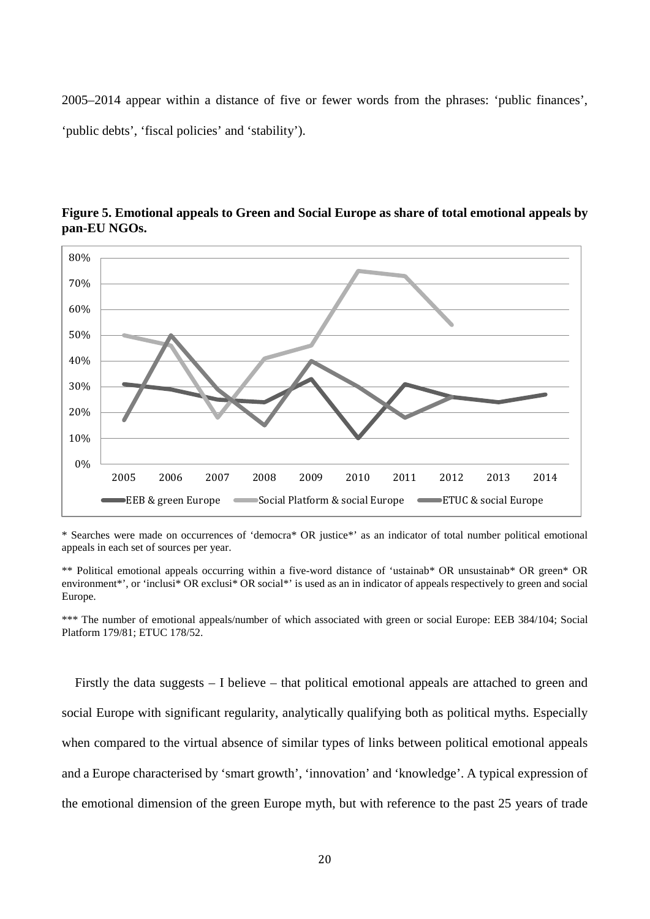2005–2014 appear within a distance of five or fewer words from the phrases: 'public finances', 'public debts', 'fiscal policies' and 'stability').



**Figure 5. Emotional appeals to Green and Social Europe as share of total emotional appeals by pan-EU NGOs.**

\* Searches were made on occurrences of 'democra\* OR justice\*' as an indicator of total number political emotional appeals in each set of sources per year.

\*\* Political emotional appeals occurring within a five-word distance of 'ustainab\* OR unsustainab\* OR green\* OR environment\*', or 'inclusi\* OR exclusi\* OR social\*' is used as an in indicator of appeals respectively to green and social Europe.

\*\*\* The number of emotional appeals/number of which associated with green or social Europe: EEB 384/104; Social Platform 179/81; ETUC 178/52.

Firstly the data suggests – I believe – that political emotional appeals are attached to green and social Europe with significant regularity, analytically qualifying both as political myths. Especially when compared to the virtual absence of similar types of links between political emotional appeals and a Europe characterised by 'smart growth', 'innovation' and 'knowledge'. A typical expression of the emotional dimension of the green Europe myth, but with reference to the past 25 years of trade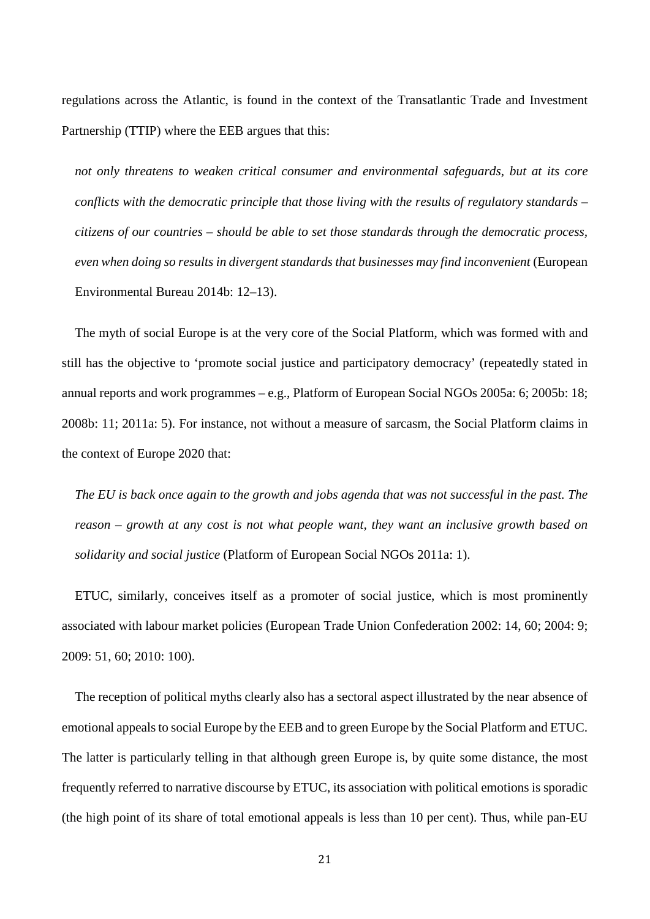regulations across the Atlantic, is found in the context of the Transatlantic Trade and Investment Partnership (TTIP) where the EEB argues that this:

*not only threatens to weaken critical consumer and environmental safeguards, but at its core conflicts with the democratic principle that those living with the results of regulatory standards – citizens of our countries – should be able to set those standards through the democratic process, even when doing so results in divergent standards that businesses may find inconvenient* (European Environmental Bureau 2014b: 12–13).

The myth of social Europe is at the very core of the Social Platform, which was formed with and still has the objective to 'promote social justice and participatory democracy' (repeatedly stated in annual reports and work programmes – e.g., Platform of European Social NGOs 2005a: 6; 2005b: 18; 2008b: 11; 2011a: 5). For instance, not without a measure of sarcasm, the Social Platform claims in the context of Europe 2020 that:

*The EU is back once again to the growth and jobs agenda that was not successful in the past. The reason – growth at any cost is not what people want, they want an inclusive growth based on solidarity and social justice* (Platform of European Social NGOs 2011a: 1).

ETUC, similarly, conceives itself as a promoter of social justice, which is most prominently associated with labour market policies (European Trade Union Confederation 2002: 14, 60; 2004: 9; 2009: 51, 60; 2010: 100).

The reception of political myths clearly also has a sectoral aspect illustrated by the near absence of emotional appeals to social Europe by the EEB and to green Europe by the Social Platform and ETUC. The latter is particularly telling in that although green Europe is, by quite some distance, the most frequently referred to narrative discourse by ETUC, its association with political emotions is sporadic (the high point of its share of total emotional appeals is less than 10 per cent). Thus, while pan-EU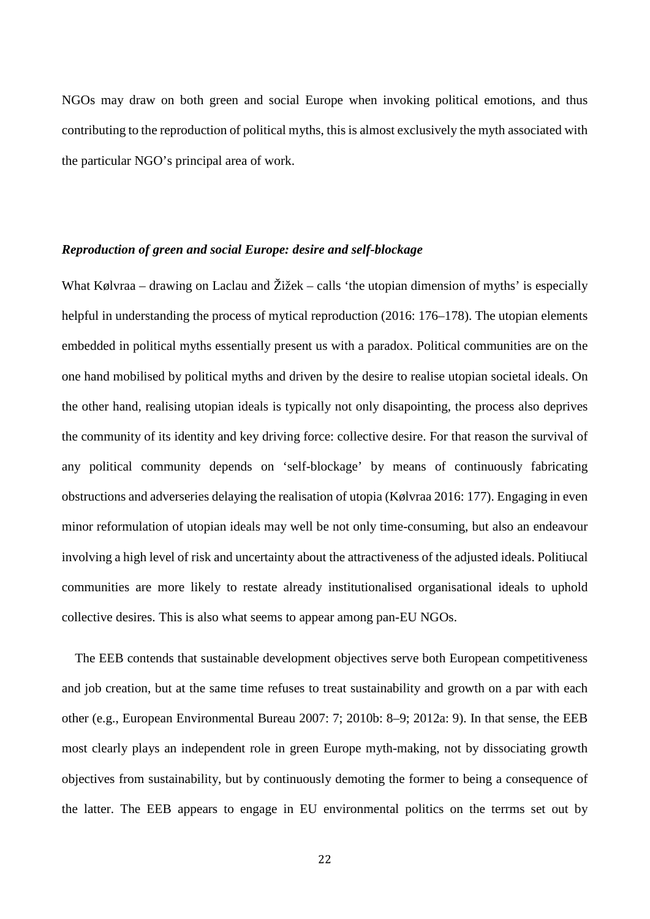NGOs may draw on both green and social Europe when invoking political emotions, and thus contributing to the reproduction of political myths, this is almost exclusively the myth associated with the particular NGO's principal area of work.

#### *Reproduction of green and social Europe: desire and self-blockage*

What Kølvraa – drawing on Laclau and Žižek – calls 'the utopian dimension of myths' is especially helpful in understanding the process of mytical reproduction (2016: 176–178). The utopian elements embedded in political myths essentially present us with a paradox. Political communities are on the one hand mobilised by political myths and driven by the desire to realise utopian societal ideals. On the other hand, realising utopian ideals is typically not only disapointing, the process also deprives the community of its identity and key driving force: collective desire. For that reason the survival of any political community depends on 'self-blockage' by means of continuously fabricating obstructions and adverseries delaying the realisation of utopia (Kølvraa 2016: 177). Engaging in even minor reformulation of utopian ideals may well be not only time-consuming, but also an endeavour involving a high level of risk and uncertainty about the attractiveness of the adjusted ideals. Politiucal communities are more likely to restate already institutionalised organisational ideals to uphold collective desires. This is also what seems to appear among pan-EU NGOs.

The EEB contends that sustainable development objectives serve both European competitiveness and job creation, but at the same time refuses to treat sustainability and growth on a par with each other (e.g., European Environmental Bureau 2007: 7; 2010b: 8–9; 2012a: 9). In that sense, the EEB most clearly plays an independent role in green Europe myth-making, not by dissociating growth objectives from sustainability, but by continuously demoting the former to being a consequence of the latter. The EEB appears to engage in EU environmental politics on the terrms set out by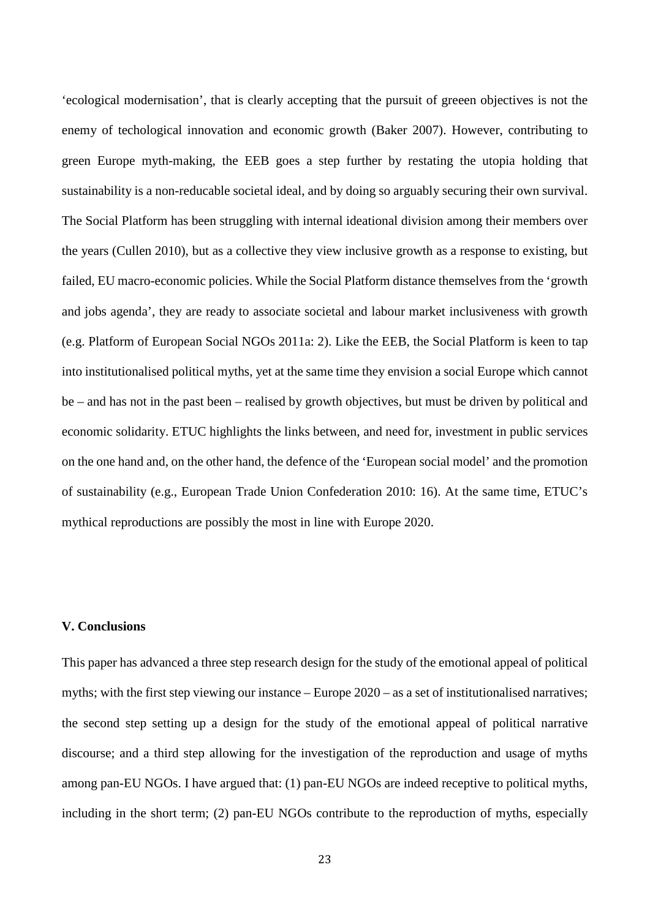'ecological modernisation', that is clearly accepting that the pursuit of greeen objectives is not the enemy of techological innovation and economic growth (Baker 2007). However, contributing to green Europe myth-making, the EEB goes a step further by restating the utopia holding that sustainability is a non-reducable societal ideal, and by doing so arguably securing their own survival. The Social Platform has been struggling with internal ideational division among their members over the years (Cullen 2010), but as a collective they view inclusive growth as a response to existing, but failed, EU macro-economic policies. While the Social Platform distance themselves from the 'growth and jobs agenda', they are ready to associate societal and labour market inclusiveness with growth (e.g. Platform of European Social NGOs 2011a: 2). Like the EEB, the Social Platform is keen to tap into institutionalised political myths, yet at the same time they envision a social Europe which cannot be – and has not in the past been – realised by growth objectives, but must be driven by political and economic solidarity. ETUC highlights the links between, and need for, investment in public services on the one hand and, on the other hand, the defence of the 'European social model' and the promotion of sustainability (e.g., European Trade Union Confederation 2010: 16). At the same time, ETUC's mythical reproductions are possibly the most in line with Europe 2020.

# **V. Conclusions**

This paper has advanced a three step research design for the study of the emotional appeal of political myths; with the first step viewing our instance – Europe 2020 – as a set of institutionalised narratives; the second step setting up a design for the study of the emotional appeal of political narrative discourse; and a third step allowing for the investigation of the reproduction and usage of myths among pan-EU NGOs. I have argued that: (1) pan-EU NGOs are indeed receptive to political myths, including in the short term; (2) pan-EU NGOs contribute to the reproduction of myths, especially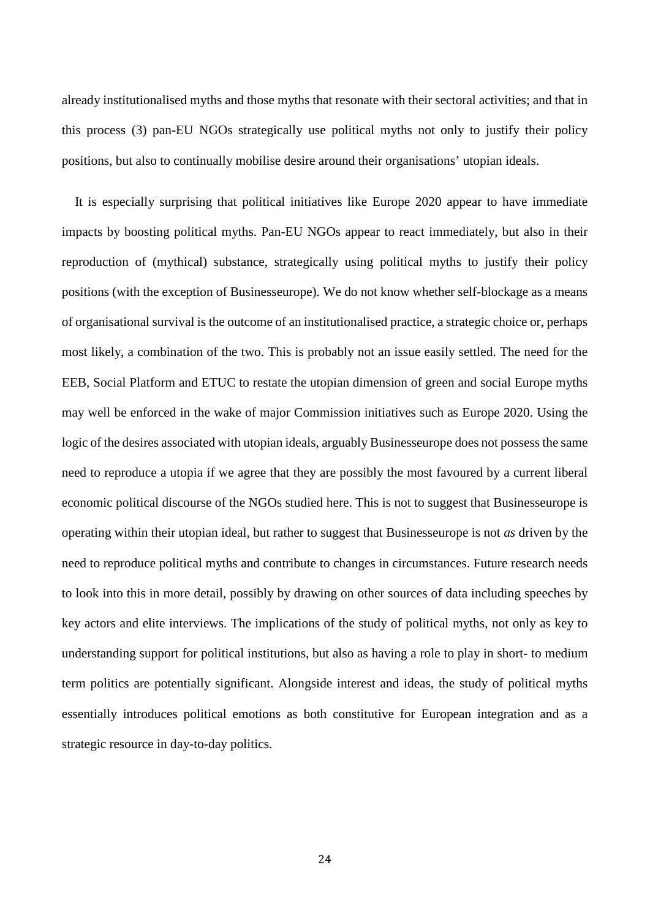already institutionalised myths and those myths that resonate with their sectoral activities; and that in this process (3) pan-EU NGOs strategically use political myths not only to justify their policy positions, but also to continually mobilise desire around their organisations' utopian ideals.

It is especially surprising that political initiatives like Europe 2020 appear to have immediate impacts by boosting political myths. Pan-EU NGOs appear to react immediately, but also in their reproduction of (mythical) substance, strategically using political myths to justify their policy positions (with the exception of Businesseurope). We do not know whether self-blockage as a means of organisational survival is the outcome of an institutionalised practice, a strategic choice or, perhaps most likely, a combination of the two. This is probably not an issue easily settled. The need for the EEB, Social Platform and ETUC to restate the utopian dimension of green and social Europe myths may well be enforced in the wake of major Commission initiatives such as Europe 2020. Using the logic of the desires associated with utopian ideals, arguably Businesseurope does not possess the same need to reproduce a utopia if we agree that they are possibly the most favoured by a current liberal economic political discourse of the NGOs studied here. This is not to suggest that Businesseurope is operating within their utopian ideal, but rather to suggest that Businesseurope is not *as* driven by the need to reproduce political myths and contribute to changes in circumstances. Future research needs to look into this in more detail, possibly by drawing on other sources of data including speeches by key actors and elite interviews. The implications of the study of political myths, not only as key to understanding support for political institutions, but also as having a role to play in short- to medium term politics are potentially significant. Alongside interest and ideas, the study of political myths essentially introduces political emotions as both constitutive for European integration and as a strategic resource in day-to-day politics.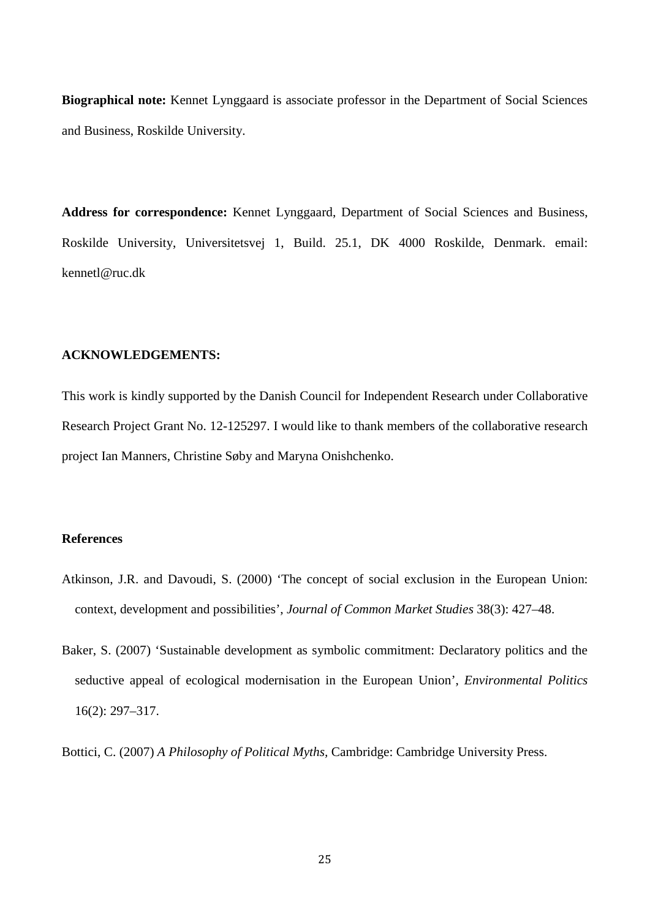**Biographical note:** Kennet Lynggaard is associate professor in the Department of Social Sciences and Business, Roskilde University.

**Address for correspondence:** Kennet Lynggaard, Department of Social Sciences and Business, Roskilde University, Universitetsvej 1, Build. 25.1, DK 4000 Roskilde, Denmark. email: kennetl@ruc.dk

# **ACKNOWLEDGEMENTS:**

This work is kindly supported by the Danish Council for Independent Research under Collaborative Research Project Grant No. 12-125297. I would like to thank members of the collaborative research project Ian Manners, Christine Søby and Maryna Onishchenko.

# **References**

- Atkinson, J.R. and Davoudi, S. (2000) 'The concept of social exclusion in the European Union: context, development and possibilities', *Journal of Common Market Studies* 38(3): 427–48.
- Baker, S. (2007) 'Sustainable development as symbolic commitment: Declaratory politics and the seductive appeal of ecological modernisation in the European Union', *Environmental Politics* 16(2): 297–317.
- Bottici, C. (2007) *A Philosophy of Political Myths,* Cambridge: Cambridge University Press.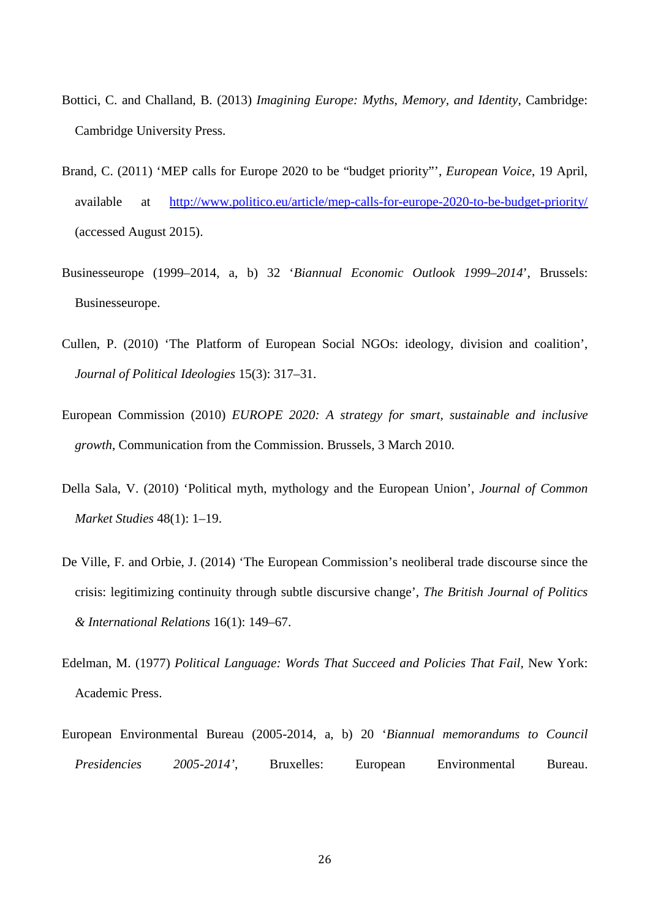- Bottici, C. and Challand, B. (2013) *Imagining Europe: Myths, Memory, and Identity,* Cambridge: Cambridge University Press.
- Brand, C. (2011) 'MEP calls for Europe 2020 to be "budget priority"', *European Voice*, 19 April, available at <http://www.politico.eu/article/mep-calls-for-europe-2020-to-be-budget-priority/> (accessed August 2015).
- Businesseurope (1999–2014, a, b) 32 '*Biannual Economic Outlook 1999–2014*', Brussels: Businesseurope.
- Cullen, P. (2010) 'The Platform of European Social NGOs: ideology, division and coalition', *Journal of Political Ideologies* 15(3): 317–31.
- European Commission (2010) *EUROPE 2020: A strategy for smart, sustainable and inclusive growth*, Communication from the Commission. Brussels, 3 March 2010.
- Della Sala, V. (2010) 'Political myth, mythology and the European Union', *Journal of Common Market Studies* 48(1): 1–19.
- De Ville, F. and Orbie, J. (2014) 'The European Commission's neoliberal trade discourse since the crisis: legitimizing continuity through subtle discursive change', *The British Journal of Politics & International Relations* 16(1): 149–67.
- Edelman, M. (1977) *Political Language: Words That Succeed and Policies That Fail,* New York: Academic Press.
- European Environmental Bureau (2005-2014, a, b) 20 '*Biannual memorandums to Council Presidencies 2005-2014'*, Bruxelles: European Environmental Bureau.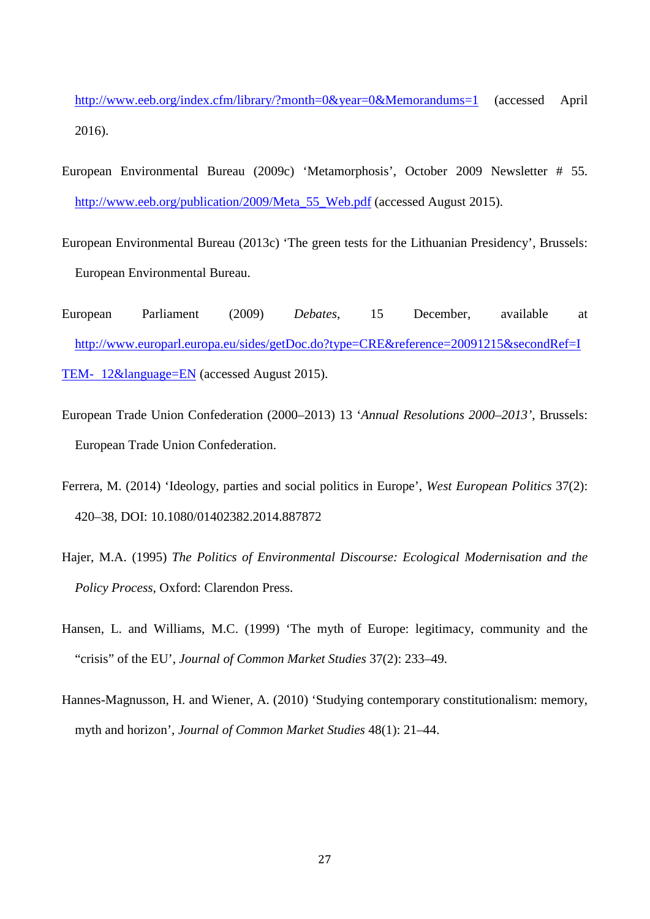<http://www.eeb.org/index.cfm/library/?month=0&year=0&Memorandums=1> (accessed April 2016).

- European Environmental Bureau (2009c) 'Metamorphosis', October 2009 Newsletter # 55. [http://www.eeb.org/publication/2009/Meta\\_55\\_Web.pdf](http://www.eeb.org/publication/2009/Meta_55_Web.pdf) (accessed August 2015).
- European Environmental Bureau (2013c) 'The green tests for the Lithuanian Presidency', Brussels: European Environmental Bureau.
- European Parliament (2009) *Debates*, 15 December, available at [http://www.europarl.europa.eu/sides/getDoc.do?type=CRE&reference=20091215&secondRef=I](http://www.europarl.europa.eu/sides/getDoc.do?type=CRE&reference=20091215&secondRef=ITEM-%0912&language=EN) TEM- [12&language=EN](http://www.europarl.europa.eu/sides/getDoc.do?type=CRE&reference=20091215&secondRef=ITEM-%0912&language=EN) (accessed August 2015).
- European Trade Union Confederation (2000–2013) 13 '*Annual Resolutions 2000–2013',* Brussels: European Trade Union Confederation.
- Ferrera, M. (2014) 'Ideology, parties and social politics in Europe', *West European Politics* 37(2): 420–38, DOI: 10.1080/01402382.2014.887872
- Hajer, M.A. (1995) *The Politics of Environmental Discourse: Ecological Modernisation and the Policy Process,* Oxford: Clarendon Press.
- Hansen, L. and Williams, M.C. (1999) 'The myth of Europe: legitimacy, community and the "crisis" of the EU', *Journal of Common Market Studies* 37(2): 233–49.
- Hannes-Magnusson, H. and Wiener, A. (2010) 'Studying contemporary constitutionalism: memory, myth and horizon', *Journal of Common Market Studies* 48(1): 21–44.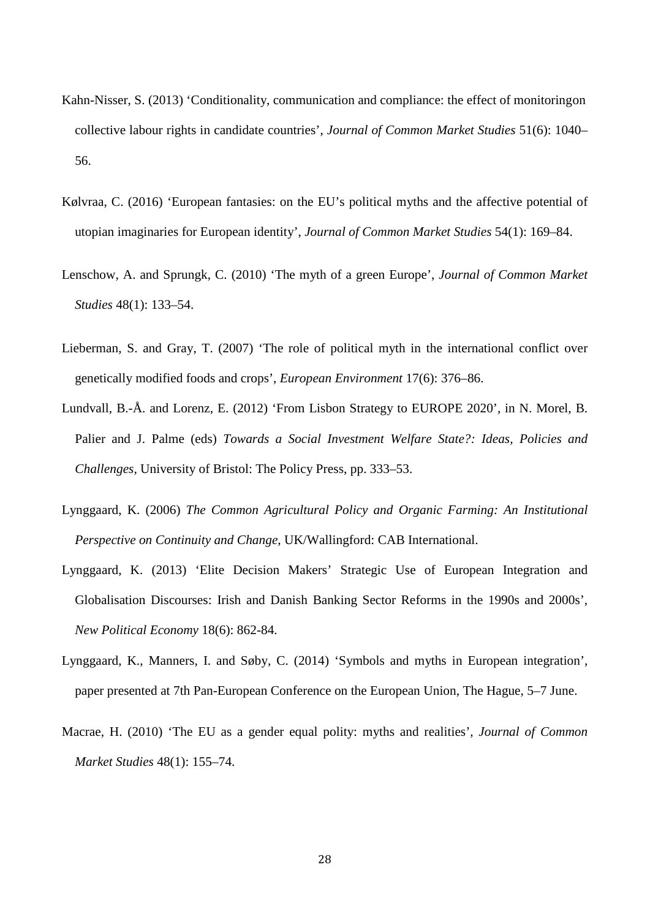- Kahn-Nisser, S. (2013) 'Conditionality, communication and compliance: the effect of monitoringon collective labour rights in candidate countries', *Journal of Common Market Studies* 51(6): 1040– 56.
- Kølvraa, C. (2016) 'European fantasies: on the EU's political myths and the affective potential of utopian imaginaries for European identity', *Journal of Common Market Studies* 54(1): 169–84.
- Lenschow, A. and Sprungk, C. (2010) 'The myth of a green Europe', *Journal of Common Market Studies* 48(1): 133–54.
- Lieberman, S. and Gray, T. (2007) 'The role of political myth in the international conflict over genetically modified foods and crops', *European Environment* 17(6): 376–86.
- Lundvall, B.-Å. and Lorenz, E. (2012) 'From Lisbon Strategy to EUROPE 2020', in N. Morel, B. Palier and J. Palme (eds) *Towards a Social Investment Welfare State?: Ideas, Policies and Challenges,* University of Bristol: The Policy Press, pp. 333–53.
- Lynggaard, K. (2006) *The Common Agricultural Policy and Organic Farming: An Institutional Perspective on Continuity and Change,* UK/Wallingford: CAB International.
- Lynggaard, K. (2013) 'Elite Decision Makers' Strategic Use of European Integration and Globalisation Discourses: Irish and Danish Banking Sector Reforms in the 1990s and 2000s', *New Political Economy* 18(6): 862-84.
- Lynggaard, K., Manners, I. and Søby, C. (2014) 'Symbols and myths in European integration', paper presented at 7th Pan-European Conference on the European Union, The Hague, 5–7 June.
- Macrae, H. (2010) 'The EU as a gender equal polity: myths and realities', *Journal of Common Market Studies* 48(1): 155–74.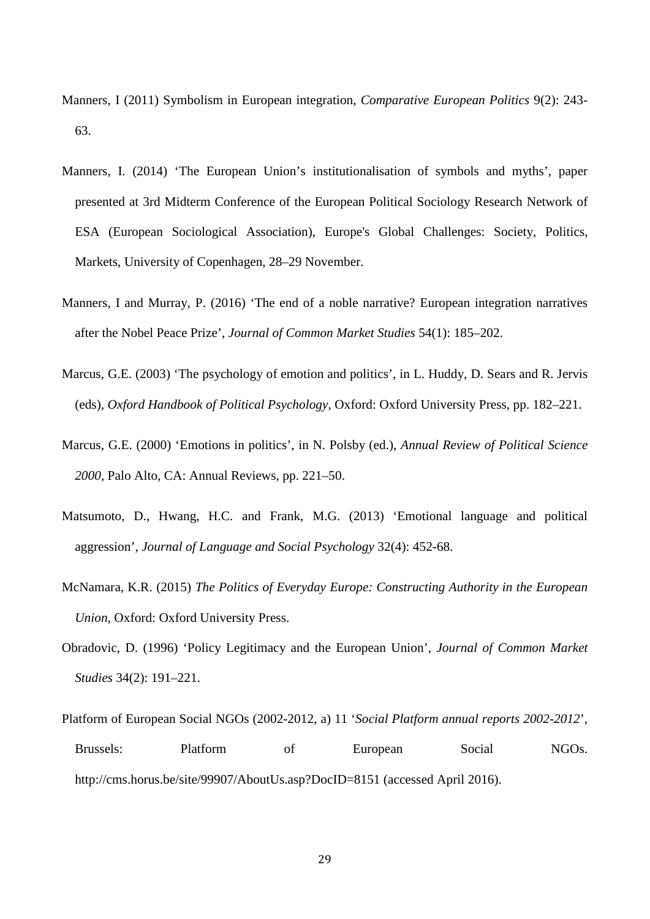- Manners, I (2011) Symbolism in European integration, *Comparative European Politics* 9(2): 243- 63.
- Manners, I. (2014) 'The European Union's institutionalisation of symbols and myths', paper presented at 3rd Midterm Conference of the European Political Sociology Research Network of ESA (European Sociological Association), Europe's Global Challenges: Society, Politics, Markets, University of Copenhagen, 28–29 November.
- Manners, I and Murray, P. (2016) 'The end of a noble narrative? European integration narratives after the Nobel Peace Prize', *Journal of Common Market Studies* 54(1): 185–202.
- Marcus, G.E. (2003) 'The psychology of emotion and politics', in L. Huddy, D. Sears and R. Jervis (eds), *Oxford Handbook of Political Psychology,* Oxford: Oxford University Press, pp. 182–221.
- Marcus, G.E. (2000) 'Emotions in politics', in N. Polsby (ed.), *Annual Review of Political Science 2000,* Palo Alto, CA: Annual Reviews, pp. 221–50.
- Matsumoto, D., Hwang, H.C. and Frank, M.G. (2013) 'Emotional language and political aggression', *Journal of Language and Social Psychology* 32(4): 452-68.
- McNamara, K.R. (2015) *The Politics of Everyday Europe: Constructing Authority in the European Union,* Oxford: Oxford University Press.
- Obradovic, D. (1996) 'Policy Legitimacy and the European Union', *Journal of Common Market Studies* 34(2): 191–221.
- Platform of European Social NGOs (2002-2012, a) 11 '*Social Platform annual reports 2002-2012*', Brussels: Platform of European Social NGOs. http://cms.horus.be/site/99907/AboutUs.asp?DocID=8151 (accessed April 2016).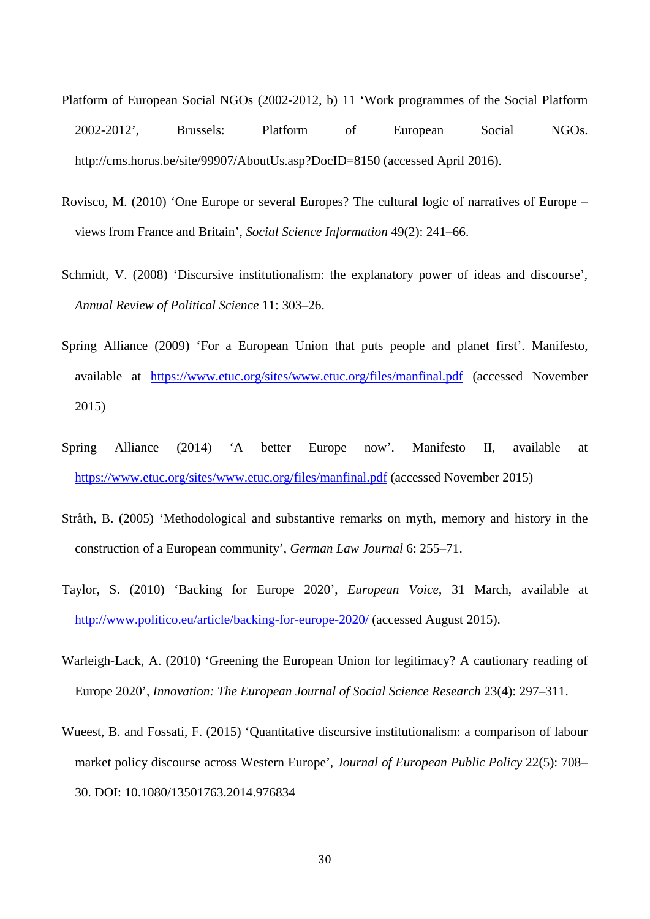- Platform of European Social NGOs (2002-2012, b) 11 'Work programmes of the Social Platform 2002-2012', Brussels: Platform of European Social NGOs. http://cms.horus.be/site/99907/AboutUs.asp?DocID=8150 (accessed April 2016).
- Rovisco, M. (2010) 'One Europe or several Europes? The cultural logic of narratives of Europe views from France and Britain', *Social Science Information* 49(2): 241–66.
- Schmidt, V. (2008) 'Discursive institutionalism: the explanatory power of ideas and discourse', *Annual Review of Political Science* 11: 303–26.
- Spring Alliance (2009) 'For a European Union that puts people and planet first'. Manifesto, available at <https://www.etuc.org/sites/www.etuc.org/files/manfinal.pdf> (accessed November 2015)
- Spring Alliance (2014) 'A better Europe now'. Manifesto II, available at <https://www.etuc.org/sites/www.etuc.org/files/manfinal.pdf> (accessed November 2015)
- Stråth, B. (2005) 'Methodological and substantive remarks on myth, memory and history in the construction of a European community', *German Law Journal* 6: 255–71.
- Taylor, S. (2010) 'Backing for Europe 2020', *European Voice*, 31 March, available at <http://www.politico.eu/article/backing-for-europe-2020/> (accessed August 2015).
- Warleigh-Lack, A. (2010) 'Greening the European Union for legitimacy? A cautionary reading of Europe 2020', *Innovation: The European Journal of Social Science Research* 23(4): 297–311.
- Wueest, B. and Fossati, F. (2015) 'Quantitative discursive institutionalism: a comparison of labour market policy discourse across Western Europe', *Journal of European Public Policy* 22(5): 708– 30. DOI: 10.1080/13501763.2014.976834